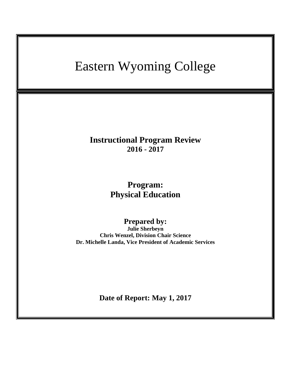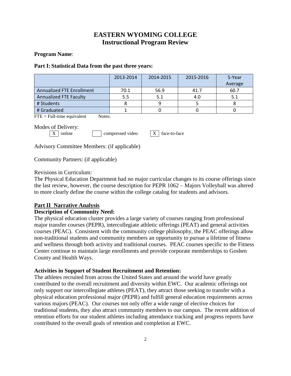# **EASTERN WYOMING COLLEGE Instructional Program Review**

### **Program Name**:

### **Part I: Statistical Data from the past three years:**

|                                                                       | 2013-2014 | 2014-2015 | 2015-2016 | 5-Year  |
|-----------------------------------------------------------------------|-----------|-----------|-----------|---------|
|                                                                       |           |           |           | Average |
| <b>Annualized FTE Enrollment</b>                                      | 70.1      | 56.9      | 41.7      | 60.7    |
| <b>Annualized FTE Faculty</b>                                         | 5.5       | 5.1       | 4.0       | 5.1     |
| # Students                                                            | 8         | 9         |           | 8       |
| # Graduated                                                           |           | 0         | 0         |         |
| $FTE = Full-time equivalent$<br>Notes:                                |           |           |           |         |
| Modes of Delivery:<br>online<br>X<br>compressed video<br>face-to-face |           |           |           |         |

Advisory Committee Members: (if applicable)

Community Partners: (if applicable)

## Revisions in Curriculum:

The Physical Education Department had no major curricular changes to its course offerings since the last review, however, the course description for PEPR 1062 – Majors Volleyball was altered to more clearly define the course within the college catalog for students and advisors.

# **Part II Narrative Analysis**

# **Description of Community Need:**

The physical education cluster provides a large variety of courses ranging from professional major transfer courses (PEPR), intercollegiate athletic offerings (PEAT) and general activities courses (PEAC). Consistent with the community college philosophy, the PEAC offerings allow non-traditional students and community members an opportunity to pursue a lifetime of fitness and wellness through both activity and traditional courses. PEAC courses specific to the Fitness Center continue to maintain large enrollments and provide corporate memberships to Goshen County and Health Ways.

## **Activities in Support of Student Recruitment and Retention:**

The athletes recruited from across the United States and around the world have greatly contributed to the overall recruitment and diversity within EWC. Our academic offerings not only support our intercollegiate athletes (PEAT), they attract those seeking to transfer with a physical education professional major (PEPR) and fulfill general education requirements across various majors (PEAC). Our courses not only offer a wide range of elective choices for traditional students, they also attract community members to our campus. The recent addition of retention efforts for our student athletes including attendance tracking and progress reports have contributed to the overall goals of retention and completion at EWC.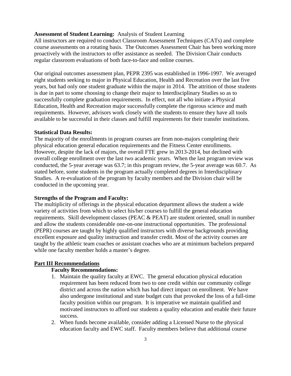### **Assessment of Student Learning:** Analysis of Student Learning

All instructors are required to conduct Classroom Assessment Techniques (CATs) and complete course assessments on a rotating basis. The Outcomes Assessment Chair has been working more proactively with the instructors to offer assistance as needed. The Division Chair conducts regular classroom evaluations of both face-to-face and online courses.

Our original outcomes assessment plan, PEPR 2395 was established in 1996-1997. We averaged eight students seeking to major in Physical Education, Health and Recreation over the last five years, but had only one student graduate within the major in 2014. The attrition of those students is due in part to some choosing to change their major to Interdisciplinary Studies so as to successfully complete graduation requirements. In effect, not all who initiate a Physical Education, Health and Recreation major successfully complete the rigorous science and math requirements. However, advisors work closely with the students to ensure they have all tools available to be successful in their classes and fulfill requirements for their transfer institutions.

#### **Statistical Data Results:**

The majority of the enrollments in program courses are from non-majors completing their physical education general education requirements and the Fitness Center enrollments. However, despite the lack of majors, the overall FTE grew in 2013-2014, but declined with overall college enrollment over the last two academic years. When the last program review was conducted, the 5-year average was 63.7; in this program review, the 5-year average was 60.7. As stated before, some students in the program actually completed degrees in Interdisciplinary Studies. A re-evaluation of the program by faculty members and the Division chair will be conducted in the upcoming year.

#### **Strengths of the Program and Faculty:**

The multiplicity of offerings in the physical education department allows the student a wide variety of activities from which to select his/her courses to fulfill the general education requirements. Skill development classes (PEAC & PEAT) are student oriented, small in number and allow the students considerable one-on-one instructional opportunities. The professional (PEPR) courses are taught by highly qualified instructors with diverse backgrounds providing excellent exposure and quality instruction and transfer credit. Most of the activity courses are taught by the athletic team coaches or assistant coaches who are at minimum bachelors prepared while one faculty member holds a master's degree.

#### **Part III Recommendations**

### **Faculty Recommendations:**

- 1. Maintain the quality faculty at EWC. The general education physical education requirement has been reduced from two to one credit within our community college district and across the nation which has had direct impact on enrollment. We have also undergone institutional and state budget cuts that provoked the loss of a full-time faculty position within our program. It is imperative we maintain qualified and motivated instructors to afford our students a quality education and enable their future success.
- 2. When funds become available, consider adding a Licensed Nurse to the physical education faculty and EWC staff. Faculty members believe that additional course